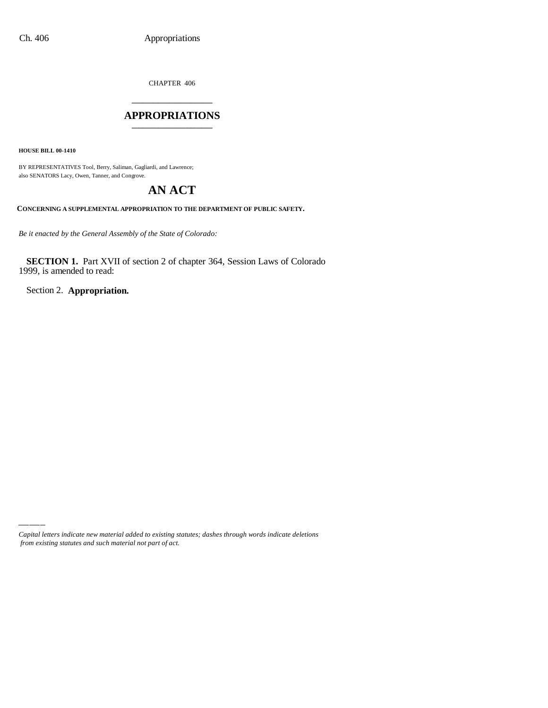CHAPTER 406 \_\_\_\_\_\_\_\_\_\_\_\_\_\_\_

#### **APPROPRIATIONS** \_\_\_\_\_\_\_\_\_\_\_\_\_\_\_

**HOUSE BILL 00-1410**

BY REPRESENTATIVES Tool, Berry, Saliman, Gagliardi, and Lawrence; also SENATORS Lacy, Owen, Tanner, and Congrove.

# **AN ACT**

**CONCERNING A SUPPLEMENTAL APPROPRIATION TO THE DEPARTMENT OF PUBLIC SAFETY.**

*Be it enacted by the General Assembly of the State of Colorado:*

**SECTION 1.** Part XVII of section 2 of chapter 364, Session Laws of Colorado 1999, is amended to read:

Section 2. **Appropriation.**

*Capital letters indicate new material added to existing statutes; dashes through words indicate deletions from existing statutes and such material not part of act.*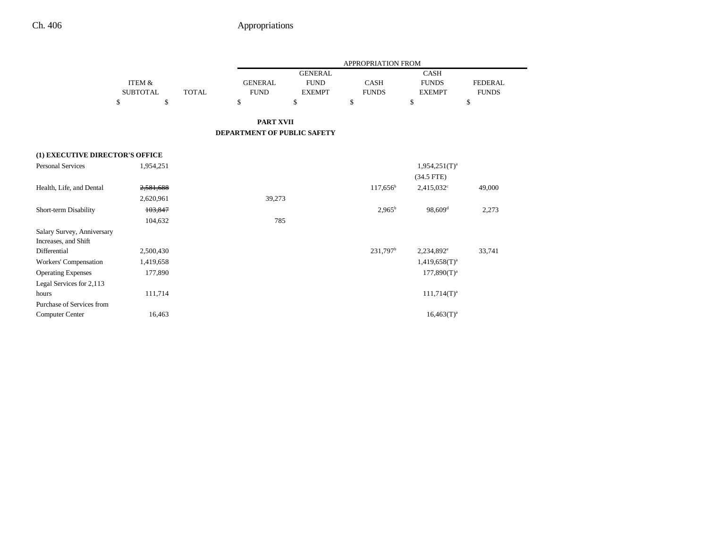|                                 |                   |              |                             |                | APPROPRIATION FROM   |                        |                |
|---------------------------------|-------------------|--------------|-----------------------------|----------------|----------------------|------------------------|----------------|
|                                 |                   |              |                             | <b>GENERAL</b> |                      | <b>CASH</b>            |                |
|                                 | <b>ITEM &amp;</b> |              | <b>GENERAL</b>              | <b>FUND</b>    | <b>CASH</b>          | <b>FUNDS</b>           | <b>FEDERAL</b> |
|                                 | <b>SUBTOTAL</b>   | <b>TOTAL</b> | <b>FUND</b>                 | <b>EXEMPT</b>  | <b>FUNDS</b>         | <b>EXEMPT</b>          | <b>FUNDS</b>   |
|                                 | $\mathbf S$<br>\$ |              | \$                          | \$             | \$                   | \$                     | \$             |
|                                 |                   |              | <b>PART XVII</b>            |                |                      |                        |                |
|                                 |                   |              | DEPARTMENT OF PUBLIC SAFETY |                |                      |                        |                |
| (1) EXECUTIVE DIRECTOR'S OFFICE |                   |              |                             |                |                      |                        |                |
| <b>Personal Services</b>        | 1,954,251         |              |                             |                |                      | $1,954,251(T)^{a}$     |                |
|                                 |                   |              |                             |                |                      | $(34.5$ FTE)           |                |
| Health, Life, and Dental        | 2,581,688         |              |                             |                | $117,656^{\circ}$    | $2,415,032^{\circ}$    | 49,000         |
|                                 | 2,620,961         |              | 39,273                      |                |                      |                        |                |
| Short-term Disability           | 103,847           |              |                             |                | $2,965^{\rm b}$      | $98,609$ <sup>d</sup>  | 2,273          |
|                                 | 104,632           |              | 785                         |                |                      |                        |                |
| Salary Survey, Anniversary      |                   |              |                             |                |                      |                        |                |
| Increases, and Shift            |                   |              |                             |                |                      |                        |                |
| Differential                    | 2,500,430         |              |                             |                | 231,797 <sup>b</sup> | 2,234,892 <sup>e</sup> | 33,741         |
| Workers' Compensation           | 1,419,658         |              |                             |                |                      | $1,419,658(T)^{a}$     |                |
| <b>Operating Expenses</b>       | 177,890           |              |                             |                |                      | $177,890(T)^{a}$       |                |
| Legal Services for 2,113        |                   |              |                             |                |                      |                        |                |
| hours                           | 111,714           |              |                             |                |                      | $111,714(T)^{a}$       |                |
| Purchase of Services from       |                   |              |                             |                |                      |                        |                |
| <b>Computer Center</b>          | 16,463            |              |                             |                |                      | $16,463(T)^a$          |                |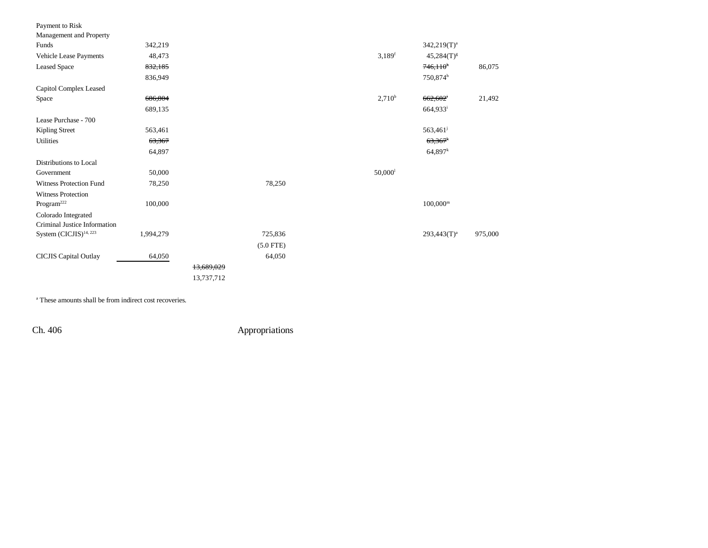| Payment to Risk                    |           |            |             |                       |                       |         |
|------------------------------------|-----------|------------|-------------|-----------------------|-----------------------|---------|
| Management and Property            |           |            |             |                       |                       |         |
| Funds                              | 342,219   |            |             |                       | $342,219(T)^a$        |         |
| Vehicle Lease Payments             | 48,473    |            |             | $3,189$ <sup>f</sup>  | $45,284(T)^{g}$       |         |
| <b>Leased Space</b>                | 832,185   |            |             |                       | 746,110 <sup>h</sup>  | 86,075  |
|                                    | 836,949   |            |             |                       | 750,874h              |         |
| Capitol Complex Leased             |           |            |             |                       |                       |         |
| Space                              | 686,804   |            |             | $2,710^b$             | 662,602               | 21,492  |
|                                    | 689,135   |            |             |                       | 664,933 <sup>i</sup>  |         |
| Lease Purchase - 700               |           |            |             |                       |                       |         |
| Kipling Street                     | 563,461   |            |             |                       | 563,461               |         |
| <b>Utilities</b>                   | 63,367    |            |             |                       | $63,367$ <sup>k</sup> |         |
|                                    | 64,897    |            |             |                       | $64,897$ <sup>k</sup> |         |
| Distributions to Local             |           |            |             |                       |                       |         |
| Government                         | 50,000    |            |             | $50,000$ <sup>1</sup> |                       |         |
| <b>Witness Protection Fund</b>     | 78,250    |            | 78,250      |                       |                       |         |
| <b>Witness Protection</b>          |           |            |             |                       |                       |         |
| $\rm{Program}^{222}$               | 100,000   |            |             |                       | $100,000^{\rm m}$     |         |
| Colorado Integrated                |           |            |             |                       |                       |         |
| Criminal Justice Information       |           |            |             |                       |                       |         |
| System (CICJIS) <sup>14, 223</sup> | 1,994,279 |            | 725,836     |                       | $293,443(T)^a$        | 975,000 |
|                                    |           |            | $(5.0$ FTE) |                       |                       |         |
| CICJIS Capital Outlay              | 64,050    |            | 64,050      |                       |                       |         |
|                                    |           | 13,689,029 |             |                       |                       |         |
|                                    |           | 13,737,712 |             |                       |                       |         |
|                                    |           |            |             |                       |                       |         |

a These amounts shall be from indirect cost recoveries.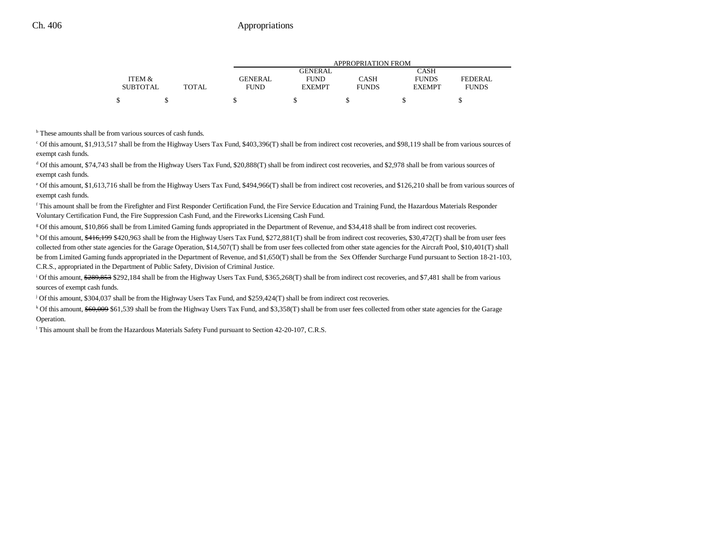|                 |              |                | APPROPRIATION FROM |              |               |              |  |  |
|-----------------|--------------|----------------|--------------------|--------------|---------------|--------------|--|--|
|                 |              |                | GENERAL            |              | CASH          |              |  |  |
| ITEM &          |              | <b>GENERAL</b> | <b>FUND</b>        | CASH         | <b>FUNDS</b>  | FEDERAL      |  |  |
| <b>SUBTOTAL</b> | <b>TOTAL</b> | <b>FUND</b>    | <b>EXEMPT</b>      | <b>FUNDS</b> | <b>EXEMPT</b> | <b>FUNDS</b> |  |  |
|                 |              |                |                    |              |               |              |  |  |

b These amounts shall be from various sources of cash funds.

c Of this amount, \$1,913,517 shall be from the Highway Users Tax Fund, \$403,396(T) shall be from indirect cost recoveries, and \$98,119 shall be from various sources of exempt cash funds.

<sup>d</sup> Of this amount, \$74,743 shall be from the Highway Users Tax Fund, \$20,888(T) shall be from indirect cost recoveries, and \$2,978 shall be from various sources of exempt cash funds.

<sup>e</sup> Of this amount, \$1,613,716 shall be from the Highway Users Tax Fund, \$494,966(T) shall be from indirect cost recoveries, and \$126,210 shall be from various sources of exempt cash funds.

f This amount shall be from the Firefighter and First Responder Certification Fund, the Fire Service Education and Training Fund, the Hazardous Materials Responder Voluntary Certification Fund, the Fire Suppression Cash Fund, and the Fireworks Licensing Cash Fund.

g Of this amount, \$10,866 shall be from Limited Gaming funds appropriated in the Department of Revenue, and \$34,418 shall be from indirect cost recoveries.

h Of this amount, \$416,199 \$420,963 shall be from the Highway Users Tax Fund, \$272,881(T) shall be from indirect cost recoveries, \$30,472(T) shall be from user fees collected from other state agencies for the Garage Operation, \$14,507(T) shall be from user fees collected from other state agencies for the Aircraft Pool, \$10,401(T) shall be from Limited Gaming funds appropriated in the Department of Revenue, and \$1,650(T) shall be from the Sex Offender Surcharge Fund pursuant to Section 18-21-103, C.R.S., appropriated in the Department of Public Safety, Division of Criminal Justice.

<sup>i</sup> Of this amount,  $\frac{289}{853}$  \$292,184 shall be from the Highway Users Tax Fund, \$365,268(T) shall be from indirect cost recoveries, and \$7,481 shall be from various sources of exempt cash funds.

j Of this amount, \$304,037 shall be from the Highway Users Tax Fund, and \$259,424(T) shall be from indirect cost recoveries.

<sup>k</sup> Of this amount, \$60,009 \$61,539 shall be from the Highway Users Tax Fund, and \$3,358(T) shall be from user fees collected from other state agencies for the Garage Operation.

l This amount shall be from the Hazardous Materials Safety Fund pursuant to Section 42-20-107, C.R.S.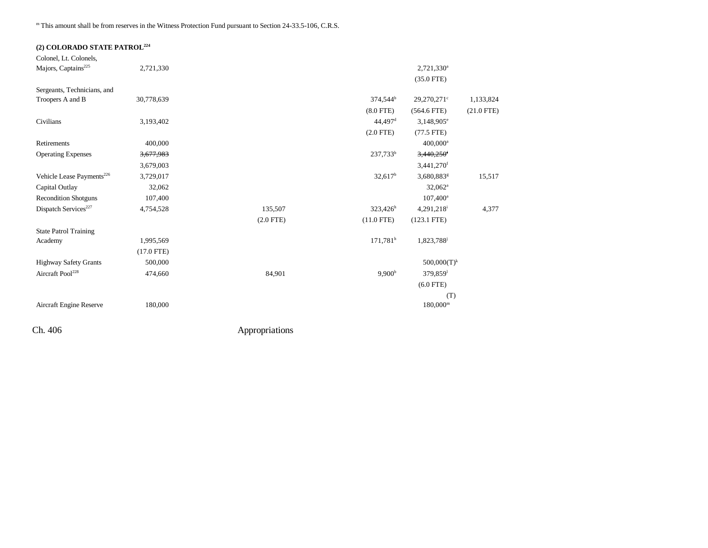## **(2) COLORADO STATE PATROL224**

| Colonel, Lt. Colonels,                |              |             |                        |                          |              |
|---------------------------------------|--------------|-------------|------------------------|--------------------------|--------------|
| Majors, Captains <sup>225</sup>       | 2,721,330    |             |                        | $2,721,330^a$            |              |
|                                       |              |             |                        | $(35.0$ FTE)             |              |
| Sergeants, Technicians, and           |              |             |                        |                          |              |
| Troopers A and B                      | 30,778,639   |             | 374,544 <sup>b</sup>   | 29,270,271 <sup>c</sup>  | 1,133,824    |
|                                       |              |             | $(8.0$ FTE)            | $(564.6$ FTE)            | $(21.0$ FTE) |
| Civilians                             | 3,193,402    |             | $44,497$ <sup>d</sup>  | $3,148,905^e$            |              |
|                                       |              |             | $(2.0$ FTE)            | $(77.5$ FTE)             |              |
| Retirements                           | 400,000      |             |                        | $400,000^{\rm a}$        |              |
| <b>Operating Expenses</b>             | 3,677,983    |             | 237,733 <sup>b</sup>   | $3,440,250$ <sup>f</sup> |              |
|                                       | 3,679,003    |             |                        | $3,441,270$ <sup>f</sup> |              |
| Vehicle Lease Payments <sup>226</sup> | 3,729,017    |             | $32,617^b$             | 3,680,883 <sup>g</sup>   | 15,517       |
| Capital Outlay                        | 32,062       |             |                        | $32,062^a$               |              |
| <b>Recondition Shotguns</b>           | 107,400      |             |                        | $107,400^{\rm a}$        |              |
| Dispatch Services <sup>227</sup>      | 4,754,528    | 135,507     | $323,426^h$            | 4,291,218                | 4,377        |
|                                       |              | $(2.0$ FTE) | $(11.0$ FTE)           | $(123.1$ FTE)            |              |
| <b>State Patrol Training</b>          |              |             |                        |                          |              |
| Academy                               | 1,995,569    |             | $171,781$ <sup>h</sup> | 1,823,788                |              |
|                                       | $(17.0$ FTE) |             |                        |                          |              |
| <b>Highway Safety Grants</b>          | 500,000      |             |                        | $500,000(T)^k$           |              |
| Aircraft Pool <sup>228</sup>          | 474,660      | 84,901      | $9,900^{\rm b}$        | 379,859 <sup>1</sup>     |              |
|                                       |              |             |                        | $(6.0$ FTE)              |              |
|                                       |              |             |                        | (T)                      |              |
| Aircraft Engine Reserve               | 180,000      |             |                        | $180,000^{\rm m}$        |              |
|                                       |              |             |                        |                          |              |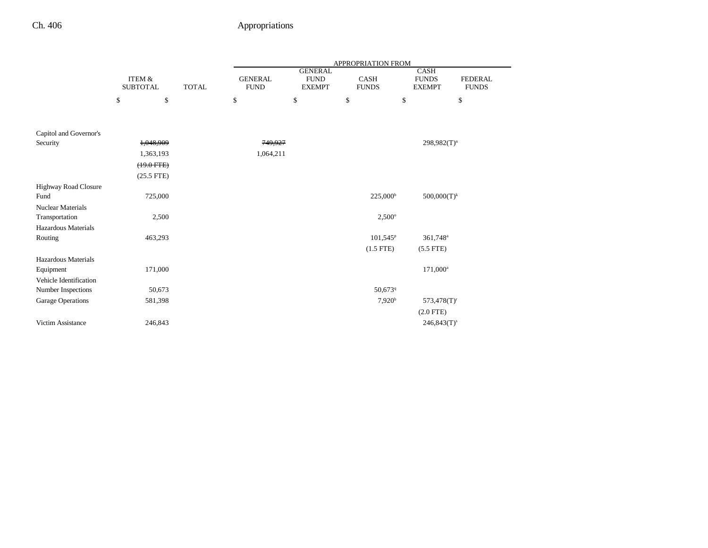|                          |                                      |              |                               |                                                | <b>APPROPRIATION FROM</b>   |                                              |                                |
|--------------------------|--------------------------------------|--------------|-------------------------------|------------------------------------------------|-----------------------------|----------------------------------------------|--------------------------------|
|                          | <b>ITEM &amp;</b><br><b>SUBTOTAL</b> | <b>TOTAL</b> | <b>GENERAL</b><br><b>FUND</b> | <b>GENERAL</b><br><b>FUND</b><br><b>EXEMPT</b> | <b>CASH</b><br><b>FUNDS</b> | <b>CASH</b><br><b>FUNDS</b><br><b>EXEMPT</b> | <b>FEDERAL</b><br><b>FUNDS</b> |
|                          | $\mathbb S$<br>\$                    |              | \$                            | \$                                             | \$                          | \$                                           | \$                             |
|                          |                                      |              |                               |                                                |                             |                                              |                                |
| Capitol and Governor's   |                                      |              |                               |                                                |                             |                                              |                                |
| Security                 | 1,048,909                            |              | 749,927                       |                                                |                             | $298,982(T)^n$                               |                                |
|                          | 1,363,193                            |              | 1,064,211                     |                                                |                             |                                              |                                |
|                          | $(19.0 \text{ FFE})$                 |              |                               |                                                |                             |                                              |                                |
|                          | $(25.5$ FTE)                         |              |                               |                                                |                             |                                              |                                |
| Highway Road Closure     |                                      |              |                               |                                                |                             |                                              |                                |
| Fund                     | 725,000                              |              |                               |                                                | $225,000^{\rm b}$           | $500,000(T)^k$                               |                                |
| <b>Nuclear Materials</b> |                                      |              |                               |                                                |                             |                                              |                                |
| Transportation           | 2,500                                |              |                               |                                                | $2,500^{\circ}$             |                                              |                                |
| Hazardous Materials      |                                      |              |                               |                                                |                             |                                              |                                |
| Routing                  | 463,293                              |              |                               |                                                | 101,545 <sup>p</sup>        | 361,748 <sup>a</sup>                         |                                |
|                          |                                      |              |                               |                                                | $(1.5$ FTE)                 | $(5.5$ FTE)                                  |                                |
| Hazardous Materials      |                                      |              |                               |                                                |                             |                                              |                                |
| Equipment                | 171,000                              |              |                               |                                                |                             | $171,000^a$                                  |                                |
| Vehicle Identification   |                                      |              |                               |                                                |                             |                                              |                                |
| Number Inspections       | 50,673                               |              |                               |                                                | 50,6739                     |                                              |                                |
| Garage Operations        | 581,398                              |              |                               |                                                | 7,920 <sup>b</sup>          | $573,478(T)^r$                               |                                |
|                          |                                      |              |                               |                                                |                             | $(2.0$ FTE)                                  |                                |
| Victim Assistance        | 246,843                              |              |                               |                                                |                             | $246,843(T)^s$                               |                                |
|                          |                                      |              |                               |                                                |                             |                                              |                                |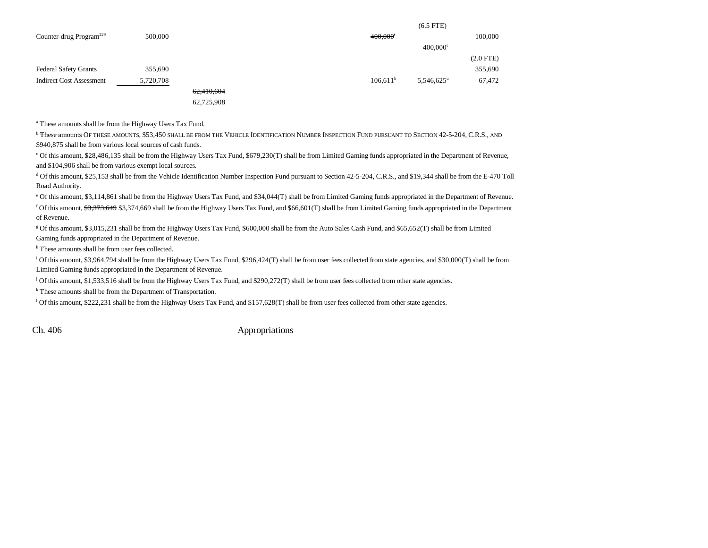|                                     |           |            |             | $(6.5$ FTE)              |                |
|-------------------------------------|-----------|------------|-------------|--------------------------|----------------|
| Counter-drug Program <sup>229</sup> | 500,000   |            | 400,000     |                          | 100,000        |
|                                     |           |            |             | $400,000$ <sup>t</sup>   |                |
|                                     |           |            |             |                          | $(2.0$ FTE $)$ |
| <b>Federal Safety Grants</b>        | 355,690   |            |             |                          | 355,690        |
| <b>Indirect Cost Assessment</b>     | 5,720,708 |            | $106,611^b$ | $5,546,625$ <sup>u</sup> | 67,472         |
|                                     |           | 62,410,604 |             |                          |                |
|                                     |           | 62,725,908 |             |                          |                |

a These amounts shall be from the Highway Users Tax Fund.

<sup>b</sup> <del>These amounts</del> Of these amounts, \$53,450 shall be from the Vehicle Identification Number Inspection Fund pursuant to Section 42-5-204, C.R.S., and \$940,875 shall be from various local sources of cash funds.

c Of this amount, \$28,486,135 shall be from the Highway Users Tax Fund, \$679,230(T) shall be from Limited Gaming funds appropriated in the Department of Revenue, and \$104,906 shall be from various exempt local sources.

d Of this amount, \$25,153 shall be from the Vehicle Identification Number Inspection Fund pursuant to Section 42-5-204, C.R.S., and \$19,344 shall be from the E-470 Toll Road Authority.

e Of this amount, \$3,114,861 shall be from the Highway Users Tax Fund, and \$34,044(T) shall be from Limited Gaming funds appropriated in the Department of Revenue. <sup>f</sup> Of this amount,  $3,373,649$  \$3,374,669 shall be from the Highway Users Tax Fund, and \$66,601(T) shall be from Limited Gaming funds appropriated in the Department of Revenue.

g Of this amount, \$3,015,231 shall be from the Highway Users Tax Fund, \$600,000 shall be from the Auto Sales Cash Fund, and \$65,652(T) shall be from Limited Gaming funds appropriated in the Department of Revenue.

<sup>h</sup> These amounts shall be from user fees collected.

<sup>i</sup> Of this amount, \$3,964,794 shall be from the Highway Users Tax Fund, \$296,424(T) shall be from user fees collected from state agencies, and \$30,000(T) shall be from Limited Gaming funds appropriated in the Department of Revenue.

 $\frac{1}{2}$  Of this amount, \$1,533,516 shall be from the Highway Users Tax Fund, and \$290,272(T) shall be from user fees collected from other state agencies.

k These amounts shall be from the Department of Transportation.

<sup>1</sup> Of this amount, \$222,231 shall be from the Highway Users Tax Fund, and \$157,628(T) shall be from user fees collected from other state agencies.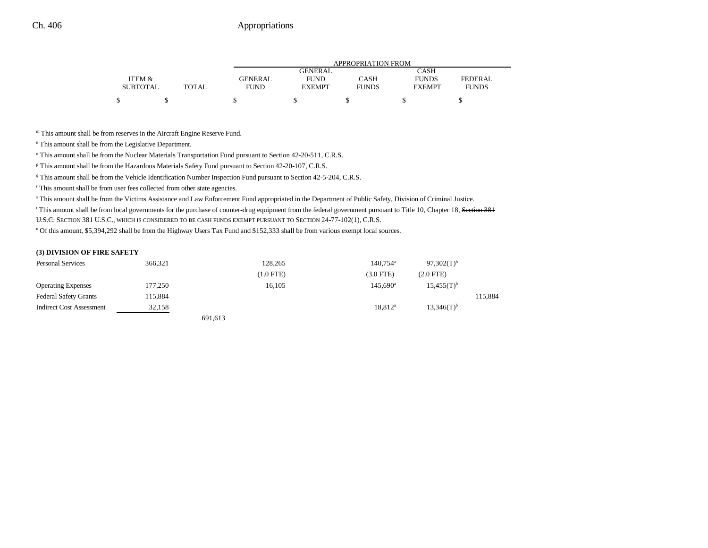|                 |       | <b>APPROPRIATION FROM</b> |                |              |               |              |  |
|-----------------|-------|---------------------------|----------------|--------------|---------------|--------------|--|
|                 |       |                           | <b>GENERAL</b> |              | CASH          |              |  |
| ITEM &          |       | <b>GENERAL</b>            | <b>FUND</b>    | CASH         | <b>FUNDS</b>  | FEDERAL      |  |
| <b>SUBTOTAL</b> | TOTAL | <b>FUND</b>               | <b>EXEMPT</b>  | <b>FUNDS</b> | <b>EXEMPT</b> | <b>FUNDS</b> |  |
|                 |       |                           |                |              |               |              |  |

m This amount shall be from reserves in the Aircraft Engine Reserve Fund.

n This amount shall be from the Legislative Department.

o This amount shall be from the Nuclear Materials Transportation Fund pursuant to Section 42-20-511, C.R.S.

p This amount shall be from the Hazardous Materials Safety Fund pursuant to Section 42-20-107, C.R.S.

q This amount shall be from the Vehicle Identification Number Inspection Fund pursuant to Section 42-5-204, C.R.S.

r This amount shall be from user fees collected from other state agencies.

s This amount shall be from the Victims Assistance and Law Enforcement Fund appropriated in the Department of Public Safety, Division of Criminal Justice.

<sup>t</sup> This amount shall be from local governments for the purchase of counter-drug equipment from the federal government pursuant to Title 10, Chapter 18, Section 381 <del>U.S.C.</del> Section 381 U.S.C., which is considered to be cash funds exempt pursuant to Section 24-77-102(1), C.R.S.

u Of this amount, \$5,394,292 shall be from the Highway Users Tax Fund and \$152,333 shall be from various exempt local sources.

#### **(3) DIVISION OF FIRE SAFETY**

| <b>Personal Services</b>        | 366,321 |         | 128,265     | $140.754$ <sup>a</sup> | $97,302(T)^{b}$          |         |
|---------------------------------|---------|---------|-------------|------------------------|--------------------------|---------|
|                                 |         |         | $(1.0$ FTE) | $(3.0$ FTE)            | $(2.0$ FTE $)$           |         |
| <b>Operating Expenses</b>       | 177,250 |         | 16,105      | $145.690^{\circ}$      | $15,455(T)^{b}$          |         |
| <b>Federal Safety Grants</b>    | 115,884 |         |             |                        |                          | 115,884 |
| <b>Indirect Cost Assessment</b> | 32,158  |         |             | 18,812 <sup>a</sup>    | $13,346(T)$ <sup>b</sup> |         |
|                                 |         | 691,613 |             |                        |                          |         |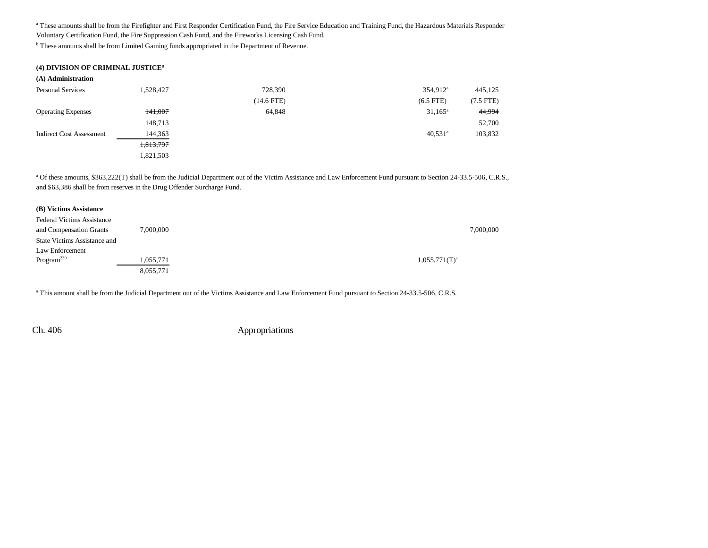a These amounts shall be from the Firefighter and First Responder Certification Fund, the Fire Service Education and Training Fund, the Hazardous Materials Responder Voluntary Certification Fund, the Fire Suppression Cash Fund, and the Fireworks Licensing Cash Fund.

**b** These amounts shall be from Limited Gaming funds appropriated in the Department of Revenue.

| (4) DIVISION OF CRIMINAL JUSTICE <sup>8</sup> |           |              |                       |             |
|-----------------------------------------------|-----------|--------------|-----------------------|-------------|
| (A) Administration                            |           |              |                       |             |
| <b>Personal Services</b>                      | 1,528,427 | 728,390      | $354,912^{\circ}$     | 445,125     |
|                                               |           | $(14.6$ FTE) | $(6.5$ FTE)           | $(7.5$ FTE) |
| <b>Operating Expenses</b>                     | 141,007   | 64,848       | $31,165^{\circ}$      | 44,994      |
|                                               | 148,713   |              |                       | 52,700      |
| <b>Indirect Cost Assessment</b>               | 144,363   |              | $40,531$ <sup>a</sup> | 103,832     |
|                                               | 1,813,797 |              |                       |             |
|                                               | 1,821,503 |              |                       |             |

a Of these amounts, \$363,222(T) shall be from the Judicial Department out of the Victim Assistance and Law Enforcement Fund pursuant to Section 24-33.5-506, C.R.S., and \$63,386 shall be from reserves in the Drug Offender Surcharge Fund.

| (B) Victims Assistance              |           |                    |           |
|-------------------------------------|-----------|--------------------|-----------|
| <b>Federal Victims Assistance</b>   |           |                    |           |
| and Compensation Grants             | 7,000,000 |                    | 7,000,000 |
| <b>State Victims Assistance and</b> |           |                    |           |
| Law Enforcement                     |           |                    |           |
| Program <sup>230</sup>              | 1,055,771 | $1,055,771(T)^{a}$ |           |
|                                     | 8,055,771 |                    |           |

<sup>a</sup> This amount shall be from the Judicial Department out of the Victims Assistance and Law Enforcement Fund pursuant to Section 24-33.5-506, C.R.S.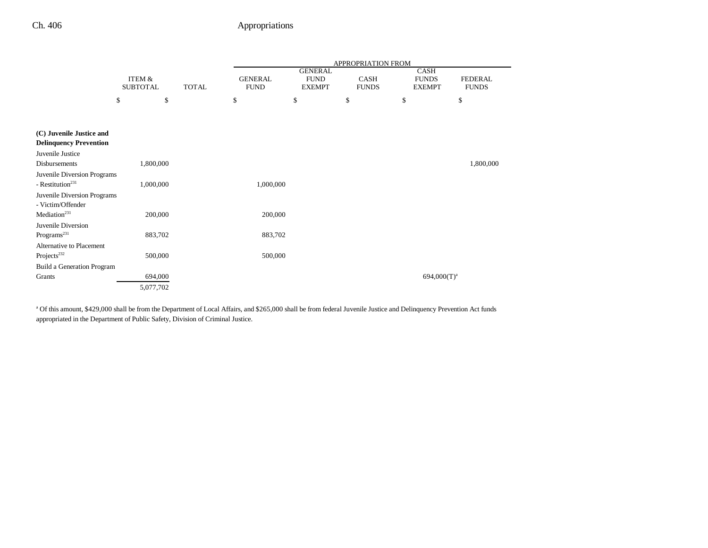|                                                             |                                                      |  |                               |                                                | APPROPRIATION FROM          |                                              |                                |
|-------------------------------------------------------------|------------------------------------------------------|--|-------------------------------|------------------------------------------------|-----------------------------|----------------------------------------------|--------------------------------|
|                                                             | <b>ITEM &amp;</b><br><b>TOTAL</b><br><b>SUBTOTAL</b> |  | <b>GENERAL</b><br><b>FUND</b> | <b>GENERAL</b><br><b>FUND</b><br><b>EXEMPT</b> | <b>CASH</b><br><b>FUNDS</b> | <b>CASH</b><br><b>FUNDS</b><br><b>EXEMPT</b> | <b>FEDERAL</b><br><b>FUNDS</b> |
|                                                             | \$<br>\$                                             |  | \$                            | \$                                             | \$                          | \$                                           | \$                             |
|                                                             |                                                      |  |                               |                                                |                             |                                              |                                |
| (C) Juvenile Justice and<br><b>Delinquency Prevention</b>   |                                                      |  |                               |                                                |                             |                                              |                                |
| Juvenile Justice                                            |                                                      |  |                               |                                                |                             |                                              |                                |
| <b>Disbursements</b>                                        | 1,800,000                                            |  |                               |                                                |                             |                                              | 1,800,000                      |
| Juvenile Diversion Programs<br>- Restitution <sup>231</sup> | 1,000,000                                            |  | 1,000,000                     |                                                |                             |                                              |                                |
| Juvenile Diversion Programs<br>- Victim/Offender            |                                                      |  |                               |                                                |                             |                                              |                                |
| Mediation <sup>231</sup>                                    | 200,000                                              |  | 200,000                       |                                                |                             |                                              |                                |
| Juvenile Diversion<br>Programs <sup>231</sup>               | 883,702                                              |  | 883,702                       |                                                |                             |                                              |                                |
| Alternative to Placement<br>Projects <sup>232</sup>         | 500,000                                              |  | 500,000                       |                                                |                             |                                              |                                |
| Build a Generation Program                                  |                                                      |  |                               |                                                |                             |                                              |                                |
| Grants                                                      | 694,000                                              |  |                               |                                                |                             | $694,000(T)^a$                               |                                |
|                                                             | 5,077,702                                            |  |                               |                                                |                             |                                              |                                |

<sup>a</sup> Of this amount, \$429,000 shall be from the Department of Local Affairs, and \$265,000 shall be from federal Juvenile Justice and Delinquency Prevention Act funds appropriated in the Department of Public Safety, Division of Criminal Justice.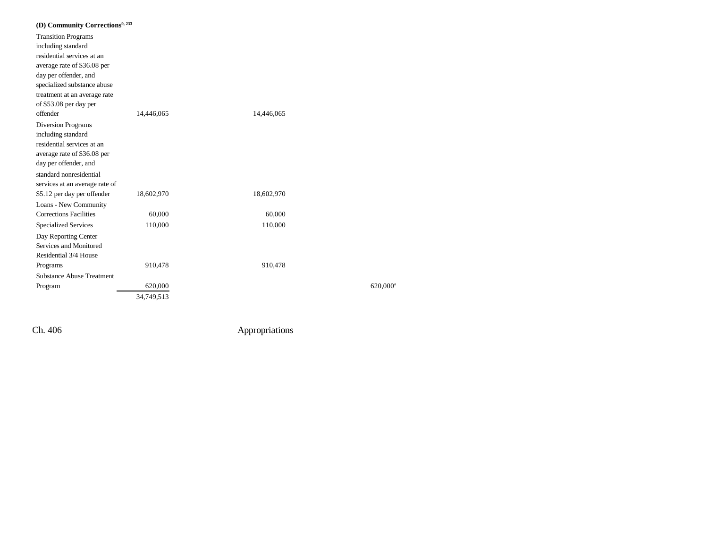| (D) Community Corrections <sup>9, 233</sup> |            |            |                      |
|---------------------------------------------|------------|------------|----------------------|
| <b>Transition Programs</b>                  |            |            |                      |
| including standard                          |            |            |                      |
| residential services at an                  |            |            |                      |
| average rate of \$36.08 per                 |            |            |                      |
| day per offender, and                       |            |            |                      |
| specialized substance abuse                 |            |            |                      |
| treatment at an average rate                |            |            |                      |
| of \$53.08 per day per                      |            |            |                      |
| offender                                    | 14,446,065 | 14,446,065 |                      |
| <b>Diversion Programs</b>                   |            |            |                      |
| including standard                          |            |            |                      |
| residential services at an                  |            |            |                      |
| average rate of \$36.08 per                 |            |            |                      |
| day per offender, and                       |            |            |                      |
| standard nonresidential                     |            |            |                      |
| services at an average rate of              |            |            |                      |
| \$5.12 per day per offender                 | 18,602,970 | 18,602,970 |                      |
| Loans - New Community                       |            |            |                      |
| <b>Corrections Facilities</b>               | 60,000     | 60,000     |                      |
| <b>Specialized Services</b>                 | 110,000    | 110,000    |                      |
| Day Reporting Center                        |            |            |                      |
| Services and Monitored                      |            |            |                      |
| Residential 3/4 House                       |            |            |                      |
| Programs                                    | 910,478    | 910,478    |                      |
| Substance Abuse Treatment                   |            |            |                      |
| Program                                     | 620,000    |            | 620,000 <sup>a</sup> |
|                                             | 34,749,513 |            |                      |
|                                             |            |            |                      |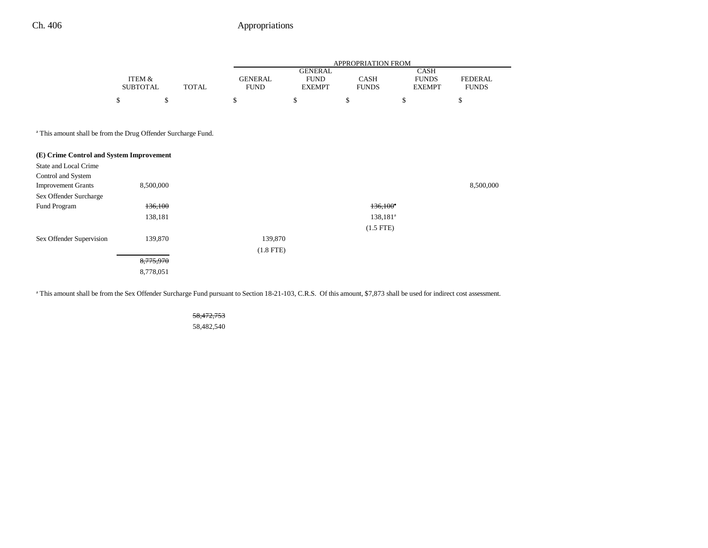## Ch. 406 Appropriations

|                                                                          |                 |              | APPROPRIATION FROM |                               |                   |                             |                |  |  |
|--------------------------------------------------------------------------|-----------------|--------------|--------------------|-------------------------------|-------------------|-----------------------------|----------------|--|--|
|                                                                          | ITEM &          |              | <b>GENERAL</b>     | <b>GENERAL</b><br><b>FUND</b> | <b>CASH</b>       | <b>CASH</b><br><b>FUNDS</b> | <b>FEDERAL</b> |  |  |
|                                                                          | <b>SUBTOTAL</b> | <b>TOTAL</b> | <b>FUND</b>        | <b>EXEMPT</b>                 | <b>FUNDS</b>      | <b>EXEMPT</b>               | <b>FUNDS</b>   |  |  |
|                                                                          | \$              | \$           | \$<br>\$           | \$                            | \$                |                             | \$             |  |  |
| <sup>a</sup> This amount shall be from the Drug Offender Surcharge Fund. |                 |              |                    |                               |                   |                             |                |  |  |
| (E) Crime Control and System Improvement                                 |                 |              |                    |                               |                   |                             |                |  |  |
| State and Local Crime                                                    |                 |              |                    |                               |                   |                             |                |  |  |
| Control and System                                                       |                 |              |                    |                               |                   |                             |                |  |  |
| <b>Improvement Grants</b>                                                | 8,500,000       |              |                    |                               |                   |                             | 8,500,000      |  |  |
| Sex Offender Surcharge                                                   |                 |              |                    |                               |                   |                             |                |  |  |
| Fund Program                                                             | 136,100         |              |                    |                               | $136,100^{\circ}$ |                             |                |  |  |
|                                                                          | 138,181         |              |                    |                               | $138,181^a$       |                             |                |  |  |
|                                                                          |                 |              |                    |                               | $(1.5$ FTE)       |                             |                |  |  |
| Sex Offender Supervision                                                 | 139,870         |              | 139,870            |                               |                   |                             |                |  |  |

8,775,970 8,778,051

<sup>a</sup> This amount shall be from the Sex Offender Surcharge Fund pursuant to Section 18-21-103, C.R.S. Of this amount, \$7,873 shall be used for indirect cost assessment.

(1.8 FTE)

58,472,753

58,482,540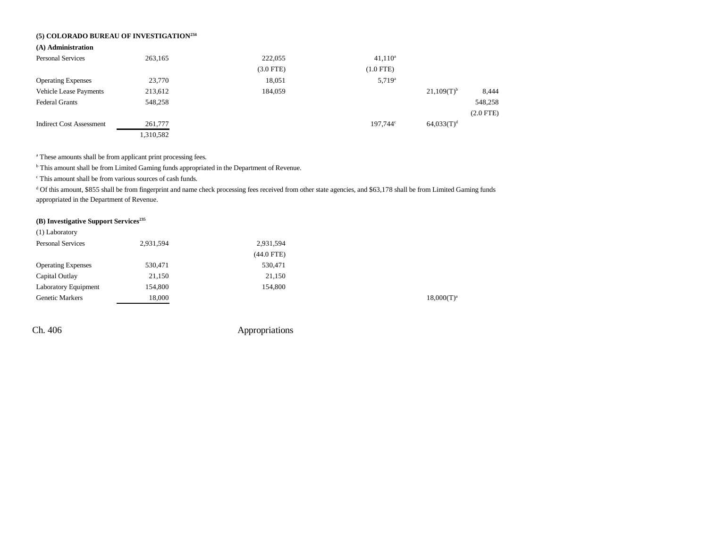## **(5) COLORADO BUREAU OF INVESTIGATION234**

#### **(A) Administration**

| <b>Personal Services</b>        | 263,165   | 222,055     | $41,110^a$        |                 |                |
|---------------------------------|-----------|-------------|-------------------|-----------------|----------------|
|                                 |           | $(3.0$ FTE) | $(1.0$ FTE)       |                 |                |
| <b>Operating Expenses</b>       | 23,770    | 18,051      | $5,719^a$         |                 |                |
| <b>Vehicle Lease Payments</b>   | 213,612   | 184,059     |                   | $21,109(T)^{b}$ | 8,444          |
| <b>Federal Grants</b>           | 548,258   |             |                   |                 | 548,258        |
|                                 |           |             |                   |                 | $(2.0$ FTE $)$ |
| <b>Indirect Cost Assessment</b> | 261,777   |             | $197.744^{\circ}$ | $64,033(T)^d$   |                |
|                                 | 1,310,582 |             |                   |                 |                |

<sup>a</sup> These amounts shall be from applicant print processing fees.

**b** This amount shall be from Limited Gaming funds appropriated in the Department of Revenue.

c This amount shall be from various sources of cash funds.

<sup>d</sup> Of this amount, \$855 shall be from fingerprint and name check processing fees received from other state agencies, and \$63,178 shall be from Limited Gaming funds appropriated in the Department of Revenue.

## **(B) Investigative Support Services235**

| (1) Laboratory            |           |              |                 |
|---------------------------|-----------|--------------|-----------------|
| <b>Personal Services</b>  | 2,931,594 | 2,931,594    |                 |
|                           |           | $(44.0$ FTE) |                 |
| <b>Operating Expenses</b> | 530,471   | 530,471      |                 |
| Capital Outlay            | 21,150    | 21,150       |                 |
| Laboratory Equipment      | 154,800   | 154,800      |                 |
| <b>Genetic Markers</b>    | 18,000    |              | $18,000(T)^{3}$ |
|                           |           |              |                 |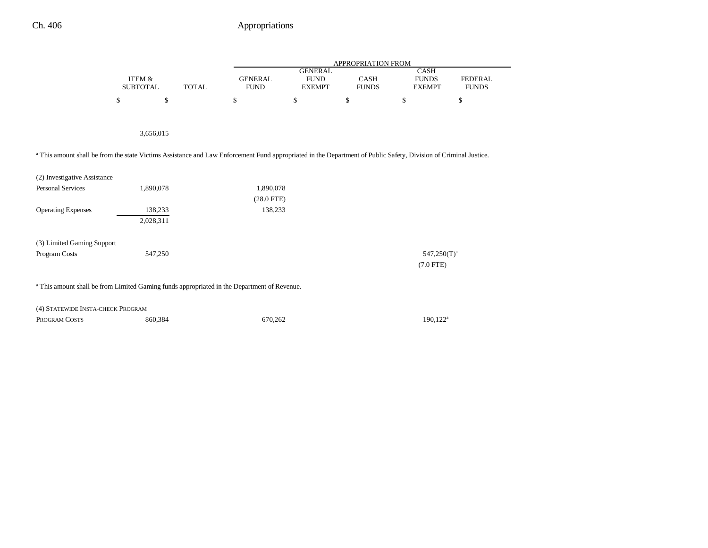|                                                                                                                                                                  |                   |           |              | APPROPRIATION FROM |                               |              |                      |                |  |  |
|------------------------------------------------------------------------------------------------------------------------------------------------------------------|-------------------|-----------|--------------|--------------------|-------------------------------|--------------|----------------------|----------------|--|--|
|                                                                                                                                                                  | <b>ITEM &amp;</b> |           |              | <b>GENERAL</b>     | <b>GENERAL</b><br><b>FUND</b> | CASH         | CASH<br><b>FUNDS</b> | <b>FEDERAL</b> |  |  |
|                                                                                                                                                                  | <b>SUBTOTAL</b>   |           | <b>TOTAL</b> | <b>FUND</b>        | <b>EXEMPT</b>                 | <b>FUNDS</b> | <b>EXEMPT</b>        | <b>FUNDS</b>   |  |  |
|                                                                                                                                                                  | \$                | \$        |              | \$                 | \$                            | \$           | \$                   | \$             |  |  |
|                                                                                                                                                                  |                   |           |              |                    |                               |              |                      |                |  |  |
|                                                                                                                                                                  |                   | 3,656,015 |              |                    |                               |              |                      |                |  |  |
| a This amount shall be from the state Victims Assistance and Law Enforcement Fund appropriated in the Department of Public Safety, Division of Criminal Justice. |                   |           |              |                    |                               |              |                      |                |  |  |
| (2) Investigative Assistance                                                                                                                                     |                   |           |              |                    |                               |              |                      |                |  |  |
| <b>Personal Services</b>                                                                                                                                         |                   | 1,890,078 |              | 1,890,078          |                               |              |                      |                |  |  |
|                                                                                                                                                                  |                   |           |              | $(28.0$ FTE)       |                               |              |                      |                |  |  |
| <b>Operating Expenses</b>                                                                                                                                        |                   | 138,233   |              | 138,233            |                               |              |                      |                |  |  |
|                                                                                                                                                                  |                   | 2,028,311 |              |                    |                               |              |                      |                |  |  |
| (3) Limited Gaming Support                                                                                                                                       |                   |           |              |                    |                               |              |                      |                |  |  |
| Program Costs                                                                                                                                                    |                   | 547,250   |              |                    |                               |              | $547,250(T)^a$       |                |  |  |
|                                                                                                                                                                  |                   |           |              |                    |                               |              | $(7.0$ FTE)          |                |  |  |
| <sup>a</sup> This amount shall be from Limited Gaming funds appropriated in the Department of Revenue.                                                           |                   |           |              |                    |                               |              |                      |                |  |  |
| (4) STATEWIDE INSTA-CHECK PROGRAM                                                                                                                                |                   |           |              |                    |                               |              |                      |                |  |  |
| PROGRAM COSTS                                                                                                                                                    |                   | 860,384   |              | 670,262            |                               |              | 190,122 <sup>a</sup> |                |  |  |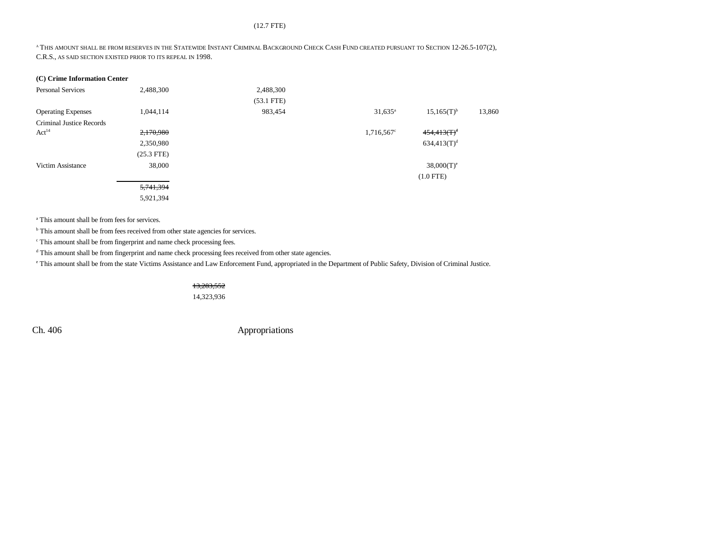#### (12.7 FTE)

A THIS AMOUNT SHALL BE FROM RESERVES IN THE STATEWIDE INSTANT CRIMINAL BACKGROUND CHECK CASH FUND CREATED PURSUANT TO SECTION 12-26.5-107(2), C.R.S., AS SAID SECTION EXISTED PRIOR TO ITS REPEAL IN 1998.

| (C) Crime Information Center    |              |              |                     |                 |        |
|---------------------------------|--------------|--------------|---------------------|-----------------|--------|
| <b>Personal Services</b>        | 2,488,300    | 2,488,300    |                     |                 |        |
|                                 |              | $(53.1$ FTE) |                     |                 |        |
| <b>Operating Expenses</b>       | 1,044,114    | 983,454      | $31,635^{\rm a}$    | $15,165(T)^{b}$ | 13,860 |
| <b>Criminal Justice Records</b> |              |              |                     |                 |        |
| Act <sup>14</sup>               | 2,170,980    |              | $1,716,567^{\circ}$ | $454,413(T)^d$  |        |
|                                 | 2,350,980    |              |                     | $634,413(T)^d$  |        |
|                                 | $(25.3$ FTE) |              |                     |                 |        |
| Victim Assistance               | 38,000       |              |                     | $38,000(T)^e$   |        |
|                                 |              |              |                     | $(1.0$ FTE)     |        |
|                                 | 5,741,394    |              |                     |                 |        |
|                                 | 5,921,394    |              |                     |                 |        |

a This amount shall be from fees for services.

**b** This amount shall be from fees received from other state agencies for services.

c This amount shall be from fingerprint and name check processing fees.

 $^{\rm d}$  This amount shall be from fingerprint and name check processing fees received from other state agencies.

e This amount shall be from the state Victims Assistance and Law Enforcement Fund, appropriated in the Department of Public Safety, Division of Criminal Justice.

13,283,552

14,323,936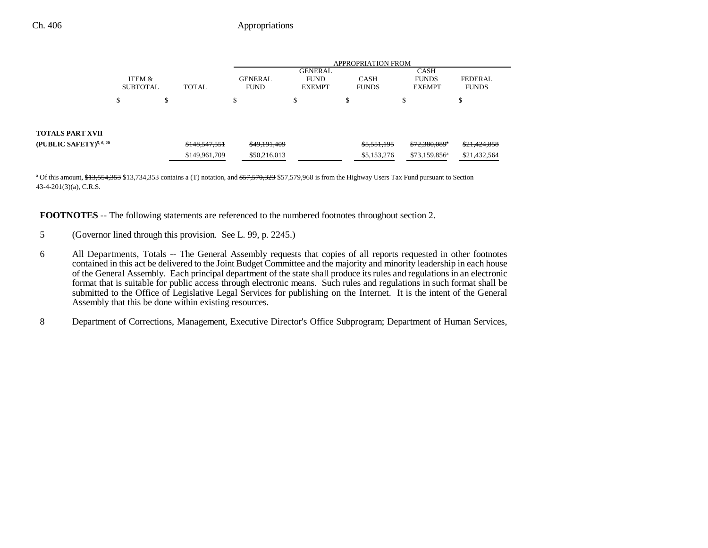|                                     |                           |    |               | <b>APPROPRIATION FROM</b>     |                                                |                             |             |                                              |                                |
|-------------------------------------|---------------------------|----|---------------|-------------------------------|------------------------------------------------|-----------------------------|-------------|----------------------------------------------|--------------------------------|
|                                     | ITEM &<br><b>SUBTOTAL</b> |    | <b>TOTAL</b>  | <b>GENERAL</b><br><b>FUND</b> | <b>GENERAL</b><br><b>FUND</b><br><b>EXEMPT</b> | <b>CASH</b><br><b>FUNDS</b> |             | <b>CASH</b><br><b>FUNDS</b><br><b>EXEMPT</b> | <b>FEDERAL</b><br><b>FUNDS</b> |
|                                     | ъ                         | \$ |               |                               | \$                                             | Φ                           |             | Φ<br>ъ                                       | D                              |
|                                     |                           |    |               |                               |                                                |                             |             |                                              |                                |
| <b>TOTALS PART XVII</b>             |                           |    |               |                               |                                                |                             |             |                                              |                                |
| (PUBLIC SAFETY) <sup>5, 6, 20</sup> |                           |    | \$148,547,551 | \$49,191,409                  |                                                |                             | \$5,551,195 | \$72,380,089"                                | \$21,424,858                   |
|                                     |                           |    | \$149,961,709 | \$50,216,013                  |                                                |                             | \$5,153,276 | \$73,159,856 <sup>a</sup>                    | \$21,432,564                   |

<sup>a</sup> Of this amount, \$13,554,353 \$13,734,353 contains a (T) notation, and \$57,570,323 \$57,579,968 is from the Highway Users Tax Fund pursuant to Section 43-4-201(3)(a), C.R.S.

**FOOTNOTES** -- The following statements are referenced to the numbered footnotes throughout section 2.

- 5 (Governor lined through this provision. See L. 99, p. 2245.)
- 6 All Departments, Totals -- The General Assembly requests that copies of all reports requested in other footnotes contained in this act be delivered to the Joint Budget Committee and the majority and minority leadership in each house of the General Assembly. Each principal department of the state shall produce its rules and regulations in an electronic format that is suitable for public access through electronic means. Such rules and regulations in such format shall be submitted to the Office of Legislative Legal Services for publishing on the Internet. It is the intent of the General Assembly that this be done within existing resources.
- 8 Department of Corrections, Management, Executive Director's Office Subprogram; Department of Human Services,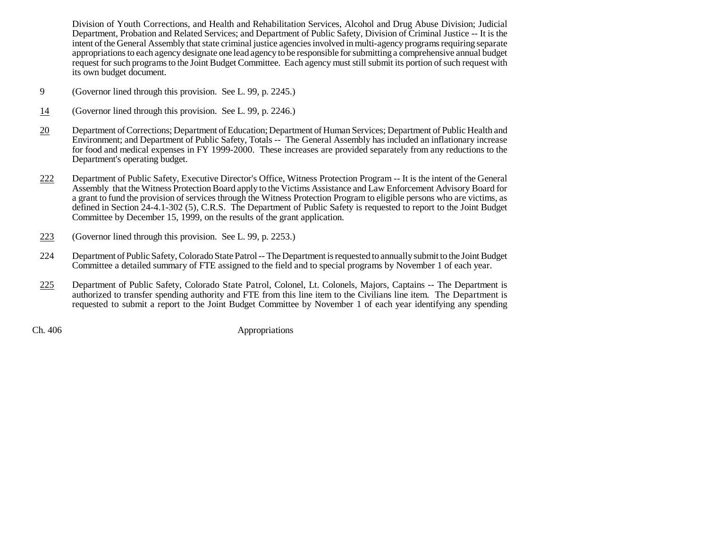Division of Youth Corrections, and Health and Rehabilitation Services, Alcohol and Drug Abuse Division; Judicial Department, Probation and Related Services; and Department of Public Safety, Division of Criminal Justice -- It is the intent of the General Assembly that state criminal justice agencies involved in multi-agency programs requiring separate appropriations to each agency designate one lead agency to be responsible for submitting a comprehensive annual budget request for such programs to the Joint Budget Committee. Each agency must still submit its portion of such request with its own budget document.

- 9 (Governor lined through this provision. See L. 99, p. 2245.)
- 14(Governor lined through this provision. See L. 99, p. 2246.)
- 20 Department of Corrections; Department of Education; Department of Human Services; Department of Public Health and Environment; and Department of Public Safety, Totals -- The General Assembly has included an inflationary increase for food and medical expenses in FY 1999-2000. These increases are provided separately from any reductions to the Department's operating budget.
- 222 Department of Public Safety, Executive Director's Office, Witness Protection Program -- It is the intent of the General Assembly that the Witness Protection Board apply to the Victims Assistance and Law Enforcement Advisory Board for a grant to fund the provision of services through the Witness Protection Program to eligible persons who are victims, as defined in Section 24-4.1-302 (5), C.R.S. The Department of Public Safety is requested to report to the Joint Budget Committee by December 15, 1999, on the results of the grant application.
- 223(Governor lined through this provision. See L. 99, p. 2253.)
- 224 Department of Public Safety, Colorado State Patrol -- The Department is requested to annually submit to the Joint Budget Committee a detailed summary of FTE assigned to the field and to special programs by November 1 of each year.
- 225 Department of Public Safety, Colorado State Patrol, Colonel, Lt. Colonels, Majors, Captains -- The Department is authorized to transfer spending authority and FTE from this line item to the Civilians line item. The Department is requested to submit a report to the Joint Budget Committee by November 1 of each year identifying any spending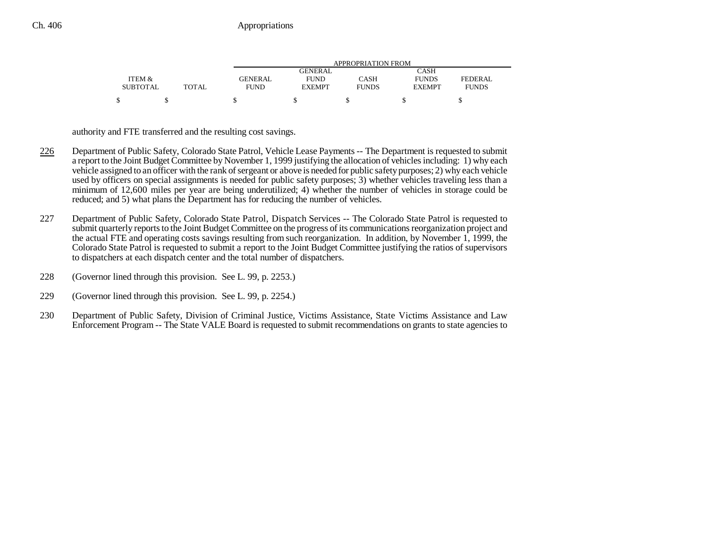|                 |              | APPROPRIATION FROM |               |              |               |                |  |  |  |
|-----------------|--------------|--------------------|---------------|--------------|---------------|----------------|--|--|--|
|                 |              |                    | GENERAL       |              | CASH          |                |  |  |  |
| ITEM &          |              | <b>GENERAL</b>     | <b>FUND</b>   | CASH         | <b>FUNDS</b>  | <b>FEDERAL</b> |  |  |  |
| <b>SUBTOTAL</b> | <b>TOTAL</b> | <b>FUND</b>        | <b>EXEMPT</b> | <b>FUNDS</b> | <b>EXEMPT</b> | <b>FUNDS</b>   |  |  |  |
|                 |              |                    |               |              |               |                |  |  |  |

authority and FTE transferred and the resulting cost savings.

- 226 Department of Public Safety, Colorado State Patrol, Vehicle Lease Payments -- The Department is requested to submit a report to the Joint Budget Committee by November 1, 1999 justifying the allocation of vehicles including: 1) why each vehicle assigned to an officer with the rank of sergeant or above is needed for public safety purposes; 2) why each vehicle used by officers on special assignments is needed for public safety purposes; 3) whether vehicles traveling less than a minimum of 12,600 miles per year are being underutilized; 4) whether the number of vehicles in storage could be reduced; and 5) what plans the Department has for reducing the number of vehicles.
- 227 Department of Public Safety, Colorado State Patrol, Dispatch Services -- The Colorado State Patrol is requested to submit quarterly reports to the Joint Budget Committee on the progress of its communications reorganization project and the actual FTE and operating costs savings resulting from such reorganization. In addition, by November 1, 1999, the Colorado State Patrol is requested to submit a report to the Joint Budget Committee justifying the ratios of supervisors to dispatchers at each dispatch center and the total number of dispatchers.
- 228 (Governor lined through this provision. See L. 99, p. 2253.)
- 229 (Governor lined through this provision. See L. 99, p. 2254.)
- 230 Department of Public Safety, Division of Criminal Justice, Victims Assistance, State Victims Assistance and Law Enforcement Program -- The State VALE Board is requested to submit recommendations on grants to state agencies to